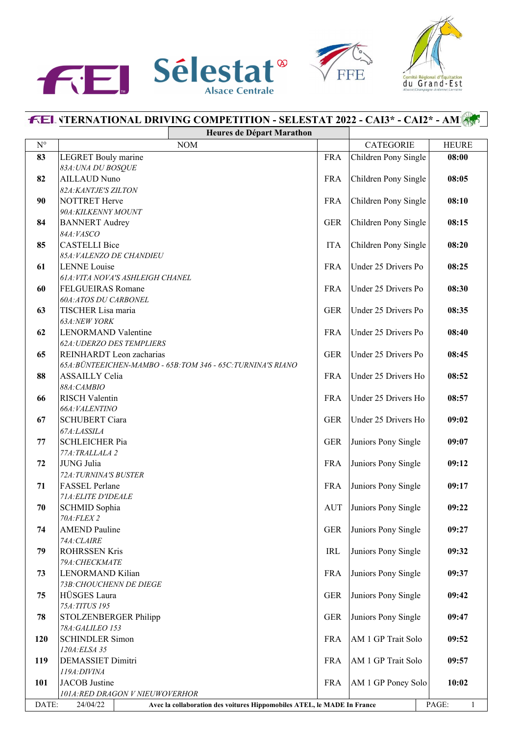





## **FEL VTERNATIONAL DRIVING COMPETITION - SELESTAT 2022 - CAI3\* - CAI2\* - AM1 Heures de Départ Marathon**  $N^{\circ}$  | CATEGORIE | HEURE **83** LEGRET Bouly marine FRA Children Pony Single **08:00** *83A:UNA DU BOSQUE* **82** AILLAUD Nuno FRA Children Pony Single 08:05 *82A:KANTJE'S ZILTON* **90** NOTTRET Herve **FRA** Children Pony Single **08:10 FRA** Children Pony Single **08:10** *90A:KILKENNY MOUNT* **84** BANNERT Audrey **GER** Children Pony Single **08:15** *84A:VASCO* **85** CASTELLI Bice **ITA** Children Pony Single **08:20** *85A:VALENZO DE CHANDIEU* **61** LENNE Louise **FRA** Under 25 Drivers Po **08:25** *61A:VITA NOVA'S ASHLEIGH CHANEL* **60** FELGUEIRAS Romane FRA Under 25 Drivers Po **08:30** *60A:ATOS DU CARBONEL* **63** TISCHER Lisa maria GER Under 25 Drivers Po **08:35** *63A:NEW YORK* **62** LENORMAND Valentine FRA Under 25 Drivers Po **08:40** *62A:UDERZO DES TEMPLIERS* **65** REINHARDT Leon zacharias GER Under 25 Drivers Po **08:45** *65A:BÜNTEEICHEN-MAMBO - 65B:TOM 346 - 65C:TURNINA'S RIANO* **88** ASSAILLY Celia **FRA** Under 25 Drivers Ho **08:52** *88A:CAMBIO* **66** RISCH Valentin FRA Under 25 Drivers Ho **08:57** *66A:VALENTINO* **67** SCHUBERT Ciara GER Under 25 Drivers Ho **09:02** *67A:LASSILA* **77** SCHLEICHER Pia GER Juniors Pony Single **09:07** *77A:TRALLALA 2* **72** JUNG Julia FRA Juniors Pony Single **09:12** *72A:TURNINA'S BUSTER* **71** FASSEL Perlane **FRA** Juniors Pony Single **09:17** FRA *71A:ELITE D'IDEALE* **70** SCHMID Sophia **AUT** Juniors Pony Single **09:22** *70A:FLEX 2* **74** AMEND Pauline **GER** Juniors Pony Single **09:27** *74A:CLAIRE* **79** ROHRSSEN Kris **IRL** Juniors Pony Single **09:32** *79A:CHECKMATE* **73** LENORMAND Kilian FRA Juniors Pony Single 09:37 *73B:CHOUCHENN DE DIEGE* **75** HÜSGES Laura GER Juniors Pony Single 1 09:42 *75A:TITUS 195* **78** STOLZENBERGER Philipp GER Juniors Pony Single 09:47 *78A:GALILEO 153* **120** SCHINDLER Simon FRA AM 1 GP Trait Solo **09:52** *120A:ELSA 35* **119** DEMASSIET Dimitri FRA AM 1 GP Trait Solo **09:57** *119A:DIVINA* 101 JACOB Justine FRA AM 1 GP Poney Solo 10:02 *101A:RED DRAGON V NIEUWOVERHOR* DATE: 24/04/22 **Avec la collaboration des voitures Hippomobiles ATEL, le MADE In France** PAGE: 1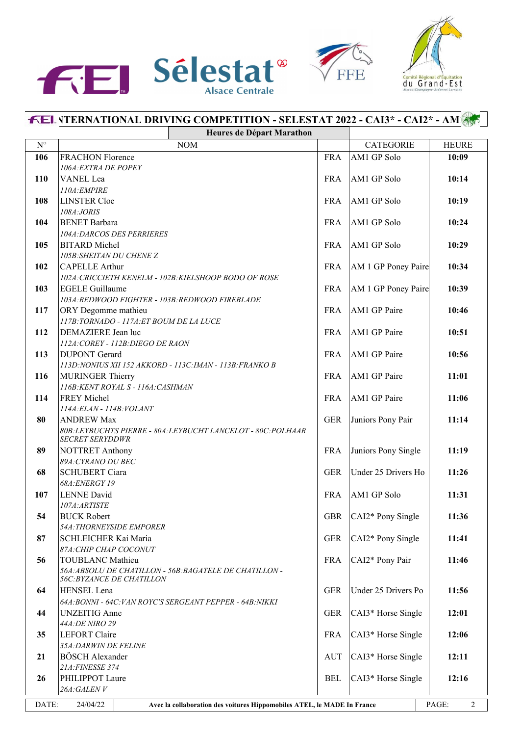





## **FEL VTERNATIONAL DRIVING COMPETITION - SELESTAT 2022 - CAI3\* - CAI2\* - AM1 Heures de Départ Marathon**  $N^{\circ}$  | CATEGORIE | HEURE **106** FRACHON Florence FRA AM1 GP Solo **10:09** *106A:EXTRA DE POPEY* **110** VANEL Lea FRA AM1 GP Solo 10:14 *110A:EMPIRE* **108** LINSTER Cloe FRA AM1 GP Solo 10:19 *108A:JORIS* **104** BENET Barbara FRA AM1 GP Solo **10:24** *104A:DARCOS DES PERRIERES* **105** BITARD Michel FRA AM1 GP Solo **10:29** *105B:SHEITAN DU CHENE Z* **102** CAPELLE Arthur **102** CAPELLE Arthur **FRA** AM 1 GP Poney Paire **10:34** *102A:CRICCIETH KENELM - 102B:KIELSHOOP BODO OF ROSE* **103** EGELE Guillaume **FRA** AM 1 GP Poney Paire **10:39** *103A:REDWOOD FIGHTER - 103B:REDWOOD FIREBLADE* **117** ORY Degomme mathieu **10:46 10:46 10:46 10:46 10:46** *117B:TORNADO - 117A:ET BOUM DE LA LUCE* **112** DEMAZIERE Jean luc **FRA** AM1 GP Paire **10:51** *112A:COREY - 112B:DIEGO DE RAON* **113** DUPONT Gerard **FRA** AM1 GP Paire **10:56** *113D:NONIUS XII 152 AKKORD - 113C:IMAN - 113B:FRANKO B* **116** MURINGER Thierry **FRA** AM1 GP Paire 11:01 *116B:KENT ROYAL S - 116A:CASHMAN* **114** FREY Michel **FRA** AM1 GP Paire **11:06** *114A:ELAN - 114B:VOLANT* **80** ANDREW Max GER Juniors Pony Pair 11:14 *80B:LEYBUCHTS PIERRE - 80A:LEYBUCHT LANCELOT - 80C:POLHAAR SECRET SERYDDWR* **89** NOTTRET Anthony FRA Juniors Pony Single **11:19** *89A:CYRANO DU BEC* **68** SCHUBERT Ciara GER Under 25 Drivers Ho **11:26** *68A:ENERGY 19* **107** LENNE David FRA AM1 GP Solo **11:31** *107A:ARTISTE* **54** BUCK Robert **GBR** CAI2\* Pony Single **11:36** *54A:THORNEYSIDE EMPORER* **87** SCHLEICHER Kai Maria GER CAI2\* Pony Single 11:41 *87A:CHIP CHAP COCONUT* **56** TOUBLANC Mathieu FRA CAI2\* Pony Pair **11:46** *56A:ABSOLU DE CHATILLON - 56B:BAGATELE DE CHATILLON - 56C:BYZANCE DE CHATILLON* **64** HENSEL Lena GER Under 25 Drivers Po **11:56** *64A:BONNI - 64C:VAN ROYC'S SERGEANT PEPPER - 64B:NIKKI* **44** UNZEITIG Anne GER CAI3\* Horse Single 12:01 *44A:DE NIRO 29* **35** LEFORT Claire **FRA** CAI3\* Horse Single **12:06** *35A:DARWIN DE FELINE* **21** BÖSCH Alexander **12:11** AUT CAI3\* Horse Single **12:11** *21A:FINESSE 374* **26** PHILIPPOT Laure BEL CAI3\* Horse Single 12:16 *26A:GALEN V* DATE: 24/04/22 **Avec la collaboration des voitures Hippomobiles ATEL, le MADE In France** PAGE: 2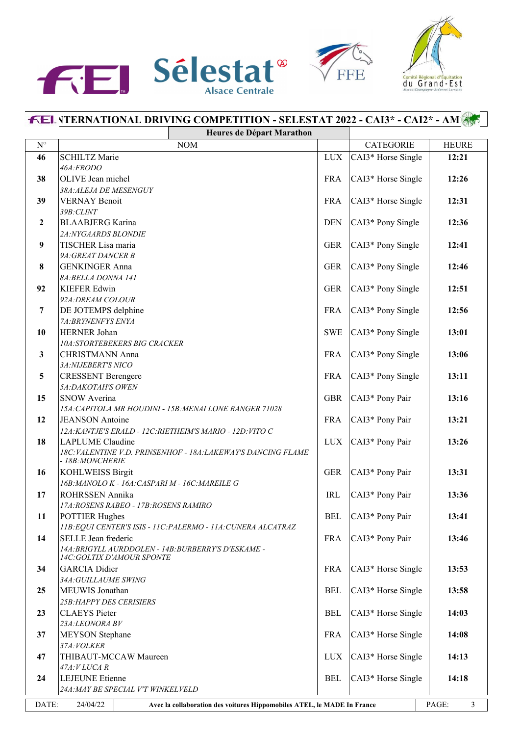





## **FEL VTERNATIONAL DRIVING COMPETITION - SELESTAT 2022 - CAI3\* - CAI2\* - AM1 Heures de Départ Marathon**  $N^{\circ}$  | CATEGORIE | HEURE **46** SCHILTZ Marie **12:21** LUX CAI3\* Horse Single **12:21** *46A:FRODO* **38** OLIVE Jean michel FRA CAI3\* Horse Single 12:26 *38A:ALEJA DE MESENGUY* **39** VERNAY Benoit **FRA** CAI3\* Horse Single **12:31** *39B:CLINT* **2** BLAABJERG Karina **DEN** CAI3\* Pony Single **12:36** *2A:NYGAARDS BLONDIE* **9** TISCHER Lisa maria **CAI3\*** Pony Single **12:41** *9A:GREAT DANCER B* **8** GENKINGER Anna GER CAI3\* Pony Single 12:46 *8A:BELLA DONNA 141* **92** KIEFER Edwin GER CAI3\* Pony Single 12:51 *92A:DREAM COLOUR* **7** DE JOTEMPS delphine FRA CAI3\* Pony Single 12:56 *7A:BRYNENFYS ENYA* **10** HERNER Johan SWE CAI3\* Pony Single 13:01 *10A:STORTEBEKERS BIG CRACKER* **3** CHRISTMANN Anna **FRA** CAI3\* Pony Single **13:06** *3A:NIJEBERT'S NICO* **5** CRESSENT Berengere FRA CAI3\* Pony Single 13:11 *5A:DAKOTAH'S OWEN* **15** SNOW Averina **15** SNOW Averina **GBR** CAI3\* Pony Pair **13:16** *15A:CAPITOLA MR HOUDINI - 15B:MENAI LONE RANGER 71028* **12** JEANSON Antoine FRA CAI3\* Pony Pair 13:21 *12A:KANTJE'S ERALD - 12C:RIETHEIM'S MARIO - 12D:VITO C* **18** LAPLUME Claudine **LAPLUME** Claudine **LUX** CAI3\* Pony Pair **13:26** *18C:VALENTINE V.D. PRINSENHOF - 18A:LAKEWAY'S DANCING FLAME - 18B:MONCHERIE* **16** KOHLWEISS Birgit GER CAI3\* Pony Pair 13:31 *16B:MANOLO K - 16A:CASPARI M - 16C:MAREILE G* **17** ROHRSSEN Annika **IRL CAI3\*** Pony Pair **13:36** *17A:ROSENS RABEO - 17B:ROSENS RAMIRO* **11** POTTIER Hughes BEL CAI3\* Pony Pair 13:41 *11B:EQUI CENTER'S ISIS - 11C:PALERMO - 11A:CUNERA ALCATRAZ* 14 SELLE Jean frederic FRA CAI3\* Pony Pair 13:46 *14A:BRIGYLL AURDDOLEN - 14B:BURBERRY'S D'ESKAME - 14C:GOLTIX D'AMOUR SPONTE* **34** GARCIA Didier FRA CAI3\* Horse Single **13:53** *34A:GUILLAUME SWING* **25** MEUWIS Jonathan **BEL** CAI3\* Horse Single 13:58 *25B:HAPPY DES CERISIERS* **23** CLAEYS Pieter **BEL** CAI3\* Horse Single **14:03** *23A:LEONORA BV* **37** MEYSON Stephane **FRA** CAI3\* Horse Single **14:08** *37A:VOLKER* **47** THIBAUT-MCCAW Maureen LUX CAI3\* Horse Single **14:13** *47A:V LUCA R* **24** LEJEUNE Etienne **14:18** BEL CAI3\* Horse Single **14:18** *24A:MAY BE SPECIAL V'T WINKELVELD* DATE: 24/04/22 **Avec la collaboration des voitures Hippomobiles ATEL, le MADE In France** PAGE: 3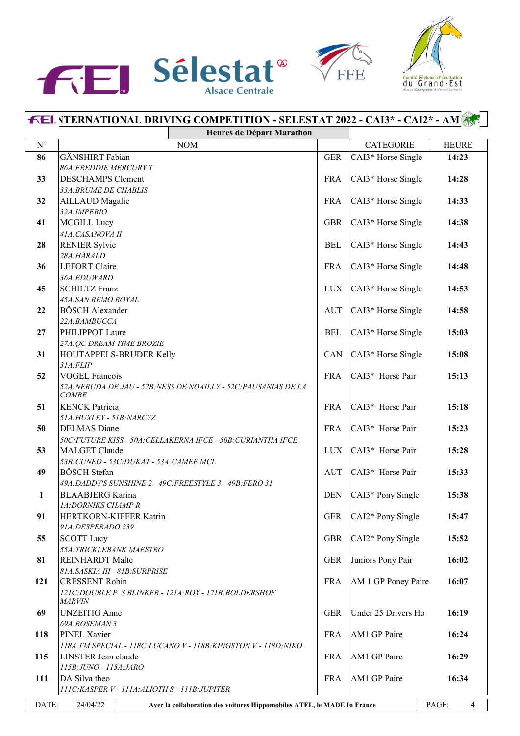





## **FEL VTERNATIONAL DRIVING COMPETITION - SELESTAT 2022 - CAI3\* - CAI2\* - AM1 Heures de Départ Marathon**  $N^{\circ}$  | CATEGORIE | HEURE **86** GÄNSHIRT Fabian GER CAI3\* Horse Single 14:23 *86A:FREDDIE MERCURY T* **33** DESCHAMPS Clement FRA CAI3\* Horse Single 14:28 *33A:BRUME DE CHABLIS* **32** AILLAUD Magalie FRA CAI3\* Horse Single **14:33** *32A:IMPERIO* **41** MCGILL Lucy **GBR** CAI3\* Horse Single **14:38** *41A:CASANOVA II* **28** RENIER Sylvie **14:43 BEL** CAI3\* Horse Single **14:43** *28A:HARALD* **36** LEFORT Claire **FRA** CAI3\* Horse Single **14:48** *36A:EDUWARD* **45** SCHILTZ Franz **LUX** CAI3\* Horse Single **14:53** *45A:SAN REMO ROYAL* **22** BÖSCH Alexander **14:58** AUT CAI3\* Horse Single **14:58** *22A:BAMBUCCA* **27** PHILIPPOT Laure **15:03** BEL CAI3\* Horse Single 15:03 *27A:QC DREAM TIME BROZIE* **31** HOUTAPPELS-BRUDER Kelly  $\begin{array}{|c|c|c|c|c|c|c|c|} \hline \text{GAN} & \text{CAI3* Horse Single} & \text{15:08} \hline \end{array}$ *31A:FLIP* **52** VOGEL Francois FRA CAI3\* Horse Pair **15:13** *52A:NERUDA DE JAU - 52B:NESS DE NOAILLY - 52C:PAUSANIAS DE LA COMBE* **51** KENCK Patricia **FRA** CAI3\* Horse Pair **15:18** *51A:HUXLEY - 51B:NARCYZ* **50** DELMAS Diane **FRA** CAI3\* Horse Pair **15:23** *50C:FUTURE KISS - 50A:CELLAKERNA IFCE - 50B:CURIANTHA IFCE* **53** MALGET Claude LUX CAI3\* Horse Pair 15:28 *53B:CUNEO - 53C:DUKAT - 53A:CAMEE MCL* **49** BÖSCH Stefan **AUT** CAI3\* Horse Pair **15:33** *49A:DADDY'S SUNSHINE 2 - 49C:FREESTYLE 3 - 49B:FERO 31* **1** BLAABJERG Karina **DEN** CAI3\* Pony Single **15:38** *1A:DORNIKS CHAMP R* **91** HERTKORN-KIEFER Katrin GER CAI2\* Pony Single 15:47 *91A:DESPERADO 239* **55** SCOTT Lucy **GBR** CAI2\* Pony Single 15:52 *55A:TRICKLEBANK MAESTRO* **81** REINHARDT Malte **GER** Juniors Pony Pair **16:02** *81A:SASKIA III - 81B:SURPRISE* **121** CRESSENT Robin FRA AM 1 GP Poney Paire **16:07** *121C:DOUBLE P S BLINKER - 121A:ROY - 121B:BOLDERSHOF MARVIN* **69** UNZEITIG Anne GER Under 25 Drivers Ho **16:19** *69A:ROSEMAN 3* **118** PINEL Xavier **16:24 FRA** AM1 GP Paire **16:24** *118A:I'M SPECIAL - 118C:LUCANO V - 118B:KINGSTON V - 118D:NIKO* **115** LINSTER Jean claude **FRA** AM1 GP Paire 16:29 *115B:JUNO - 115A:JARO* **111** DA Silva theo **FRA** AM1 GP Paire **16:34** *111C:KASPER V - 111A:ALIOTH S - 111B:JUPITER* DATE: 24/04/22 **Avec la collaboration des voitures Hippomobiles ATEL, le MADE In France** PAGE: 4